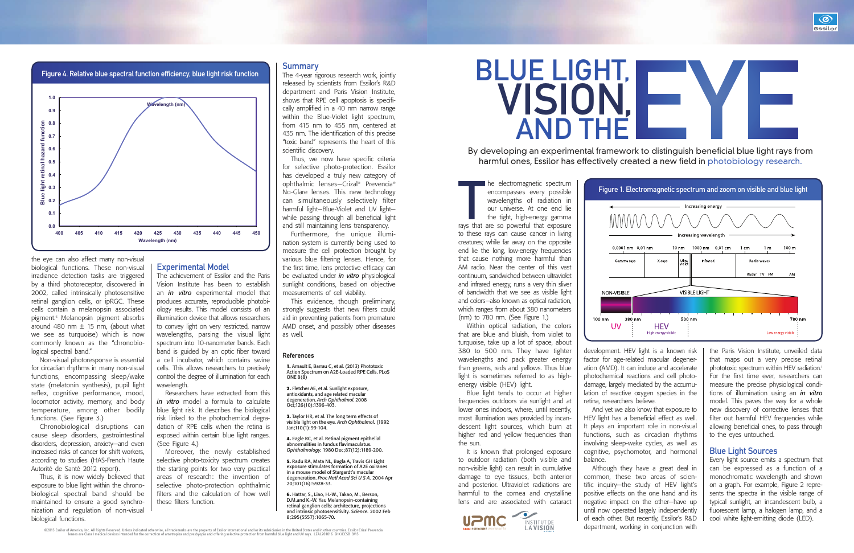The electromagnetic spectrum<br>encompasses every possible<br>wavelengths of radiation in<br>our universe. At one end lie<br>the tight, high-energy gamma<br>rays that are so powerful that exposure he electromagnetic spectrum encompasses every possible wavelengths of radiation in our universe. At one end lie the tight, high-energy gamma

to these rays can cause cancer in living creatures; while far away on the opposite end lie the long, low-energy frequencies that cause nothing more harmful than AM radio. Near the center of this vast continuum, sandwiched between ultraviolet and infrared energy, runs a very thin sliver of bandwidth that we see as visible light and colors—also known as optical radiation, which ranges from about 380 nanometers (nm) to 780 nm. (See Figure 1.)

Within optical radiation, the colors that are blue and bluish, from violet to turquoise, take up a lot of space, about 380 to 500 nm. They have tighter wavelengths and pack greater energy than greens, reds and yellows. Thus blue light is sometimes referred to as highenergy visible (HEV) light.

Blue light tends to occur at higher frequencies outdoors via sunlight and at lower ones indoors, where, until recently, most illumination was provided by incandescent light sources, which burn at higher red and yellow frequencies than the sun.

It is known that prolonged exposure to outdoor radiation (both visible and non-visible light) can result in cumulative damage to eye tissues, both anterior and posterior. Ultraviolet radiations are harmful to the cornea and crystalline lens and are associated with cataract



development. HEV light is a known risk

factor for age-related macular degener-



ation (AMD). It can induce and accelerate photochemical reactions and cell photodamage, largely mediated by the accumulation of reactive oxygen species in the retina, researchers believe. And yet we also know that exposure to HEV light has a beneficial effect as well. It plays an important role in non-visual functions, such as circadian rhythms involving sleep-wake cycles, as well as cognitive, psychomotor, and hormonal balance.

Although they have a great deal in common, these two areas of scientific inquiry—the study of HEV light's positive effects on the one hand and its negative impact on the other—have up until now operated largely independently of each other. But recently, Essilor's R&D department, working in conjunction with

©2015 Essilor of America, Inc. All Rights Reserved. Unless indicated otherwise, all trademarks are the property of Essilor International and/or its subsidiaries in the United States and in other countries. Essilor Crizal P

 $100$  nm

 $\overline{11}$ 

the Paris Vision Institute, unveiled data that maps out a very precise retinal phototoxic spectrum within HEV radiation.<sup>1</sup> For the first time ever, researchers can measure the precise physiological conditions of illumination using an *in vitro* model. This paves the way for a whole new discovery of corrective lenses that filter out harmful HEV frequencies while allowing beneficial ones, to pass through to the eyes untouched.

## Blue Light Sources

Every light source emits a spectrum that can be expressed as a function of a monochromatic wavelength and shown on a graph. For example, Figure 2 represents the spectra in the visible range of typical sunlight, an incandescent bulb, a fluorescent lamp, a halogen lamp, and a cool white light-emitting diode (LED).



By developing an experimental framework to distinguish beneficial blue light rays from harmful ones, Essilor has effectively created a new field in photobiology research.



AND THE VISION,

the eye can also affect many non-visual biological functions. These non-visual irradiance detection tasks are triggered by a third photoreceptor, discovered in 2002, called intrinsically photosensitive retinal ganglion cells, or ipRGC. These cells contain a melanopsin associated pigment.6 Melanopsin pigment absorbs around 480 nm  $\pm$  15 nm, (about what we see as turquoise) which is now commonly known as the "chronobiological spectral band."

Non-visual photoresponse is essential for circadian rhythms in many non-visual functions, encompassing sleep/wake state (melatonin synthesis), pupil light reflex, cognitive performance, mood, locomotor activity, memory, and body temperature, among other bodily functions. (See Figure 3.)

Chronobiological disruptions can cause sleep disorders, gastrointestinal disorders, depression, anxiety—and even increased risks of cancer for shift workers, according to studies (HAS-French Haute Autorité de Santé 2012 report).

Thus, it is now widely believed that exposure to blue light within the chronobiological spectral band should be maintained to ensure a good synchronization and regulation of non-visual biological functions.

### Experimental Model

The achievement of Essilor and the Paris Vision Institute has been to establish an *in vitro* experimental model that produces accurate, reproducible photobiology results. This model consists of an illumination device that allows researchers to convey light on very restricted, narrow wavelengths, parsing the visual light spectrum into 10-nanometer bands. Each band is guided by an optic fiber toward a cell incubator, which contains swine cells. This allows researchers to precisely control the degree of illumination for each wavelength.

Researchers have extracted from this *in vitro* model a formula to calculate blue light risk. It describes the biological risk linked to the photochemical degradation of RPE cells when the retina is exposed within certain blue light ranges. (See Figure 4.)

Moreover, the newly established selective photo-toxicity spectrum creates the starting points for two very practical areas of research: the invention of selective photo-protection ophthalmic filters and the calculation of how well these filters function.

#### **Summary**

The 4-year rigorous research work, jointly released by scientists from Essilor's R&D department and Paris Vision Institute, shows that RPE cell apoptosis is specifically amplified in a 40 nm narrow range within the Blue-Violet light spectrum, from 415 nm to 455 nm, centered at 435 nm. The identification of this precise "toxic band" represents the heart of this scientific discovery.

Thus, we now have specific criteria for selective photo-protection. Essilor has developed a truly new category of ophthalmic lenses—Crizal® Prevencia® No-Glare lenses. This new technology can simultaneously selectively filter harmful light—Blue-Violet and UV light while passing through all beneficial light and still maintaining lens transparency.

Furthermore, the unique illumination system is currently being used to measure the cell protection brought by various blue filtering lenses. Hence, for the first time, lens protective efficacy can be evaluated under *in vitro* physiological sunlight conditions, based on objective measurements of cell viability.

This evidence, though preliminary, strongly suggests that new filters could aid in preventing patients from premature AMD onset, and possibly other diseases as well.

#### References

**1.** Arnault E, Barrau C, et al. (2013) Phototoxic Action Spectrum on A2E-Loaded RPE Cells. PLoS ONE 8(8)

**2.** Fletcher AE, et al. Sunlight exposure, antioxidants, and age related macular degeneration. *Arch Ophthalmol*. 2008 Oct;126(10):1396-403.

**3.** Taylor HR, et al. The long term effects of visible light on the eye. *Arch Ophthalmol.* (1992 Jan;110(1):99-104.

**4.** Eagle RC, et al. Retinal pigment epithelial abnormalities in fundus flavimaculatus. *Ophthalmology.* 1980 Dec;87(12):1189-200.

**5.** Radu RA, Mata NL, Bagla A, Travis GH Light exposure stimulates formation of A2E oxiranes in a mouse model of Stargardt's macular degeneration. *Proc Natl Acad Sci U S A.* 2004 Apr 20;101(16):5928-33.

**6.** Hattar, S., Liao, H.-W., Takao, M., Berson, D.M.and K.-W. Yau Melanopsin-containing retinal ganglion cells: architecture, projections and intrinsic photosensitivity. *Science.* 2002 Feb 8;295(5557):1065-70.